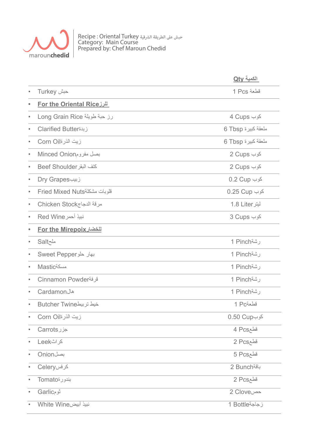

Recipe : Oriental Turkey الرشقية الطريقة عىل حبش Category: Main Course Prepared by: Chef Maroun Chedid

|           |                                   | الكمية Qty         |
|-----------|-----------------------------------|--------------------|
|           | Turkey حبش                        | 1 Pcs قطعة         |
|           | <u>For the Oriental Rice للرز</u> |                    |
|           | رز حبة طويلة Long Grain Rice      | 4 Cups کوب         |
|           | زبدة Clarified Butter             | ملعقة كبيرة 6 Tbsp |
|           | زيت الذرةاCorn Oil                | ملعقة كبيرة 6 Tbsp |
|           | بصل مفرومMinced Onion             | کوب Cups 2         |
|           | كتف البقر Beef Shoulder           | کوب Cups 2         |
|           | زبیبDry Grapes                    | کوب 0.2 Cup        |
|           | قلوبات مشكلةFried Mixed Nuts      | کوب 0.25 Cup       |
|           | مرقة الدجاجChicken Stock          | ليتر 1.8 Liter     |
|           | نبيذ أحمر Red Wine                | کوب 3 Cups         |
|           | <u>For the Mirepoix للخضار</u>    |                    |
|           | ملحSalt                           | رشة1 Pinch         |
|           | Sweet Pepper                      | رشة1 Pinch         |
|           | <b>Mastic</b>                     | رشة1 Pinch         |
|           | Cinnamon Powder                   | رشة1 Pinch         |
|           | Cardamon                          | رشة1 Pinch         |
|           | خيط تربيطButcher Twine            | فطعة1 Pc           |
|           | زيت الذرةCorn Oil                 | کوب0.50 Cup        |
| $\bullet$ | جزر Carrots                       | قطع4 Pcs           |
| $\bullet$ | كراثLeek                          | 2 Pcsقطع           |
|           | <b>Onion</b> بصل                  | قطع5 Pcs           |
|           | کرفسCelery                        | باقة Bunch         |
| $\bullet$ | بندورةTomato                      | قطع2 Pcs           |
| $\bullet$ | نومGarlic                         | 2 Clove            |
|           | نبيذ أبيضWhite Wine               | ز جاجة1 Bottle     |
|           |                                   |                    |